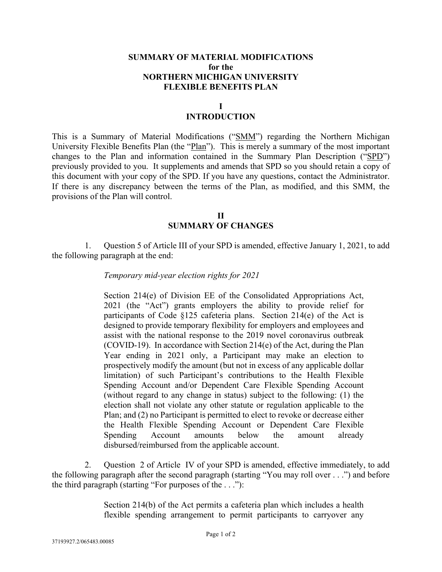## **SUMMARY OF MATERIAL MODIFICATIONS for the NORTHERN MICHIGAN UNIVERSITY FLEXIBLE BENEFITS PLAN**

## **I**

## **INTRODUCTION**

This is a Summary of Material Modifications ("SMM") regarding the Northern Michigan University Flexible Benefits Plan (the "Plan"). This is merely a summary of the most important changes to the Plan and information contained in the Summary Plan Description ("SPD") previously provided to you. It supplements and amends that SPD so you should retain a copy of this document with your copy of the SPD. If you have any questions, contact the Administrator. If there is any discrepancy between the terms of the Plan, as modified, and this SMM, the provisions of the Plan will control.

> **II SUMMARY OF CHANGES**

1. Question 5 of Article III of your SPD is amended, effective January 1, 2021, to add the following paragraph at the end:

## *Temporary mid-year election rights for 2021*

Section 214(e) of Division EE of the Consolidated Appropriations Act, 2021 (the "Act") grants employers the ability to provide relief for participants of Code §125 cafeteria plans. Section 214(e) of the Act is designed to provide temporary flexibility for employers and employees and assist with the national response to the 2019 novel coronavirus outbreak (COVID-19). In accordance with Section 214(e) of the Act, during the Plan Year ending in 2021 only, a Participant may make an election to prospectively modify the amount (but not in excess of any applicable dollar limitation) of such Participant's contributions to the Health Flexible Spending Account and/or Dependent Care Flexible Spending Account (without regard to any change in status) subject to the following: (1) the election shall not violate any other statute or regulation applicable to the Plan; and (2) no Participant is permitted to elect to revoke or decrease either the Health Flexible Spending Account or Dependent Care Flexible Spending Account amounts below the amount already disbursed/reimbursed from the applicable account.

2. Question 2 of Article IV of your SPD is amended, effective immediately, to add the following paragraph after the second paragraph (starting "You may roll over . . .") and before the third paragraph (starting "For purposes of the . . ."):

> Section 214(b) of the Act permits a cafeteria plan which includes a health flexible spending arrangement to permit participants to carryover any